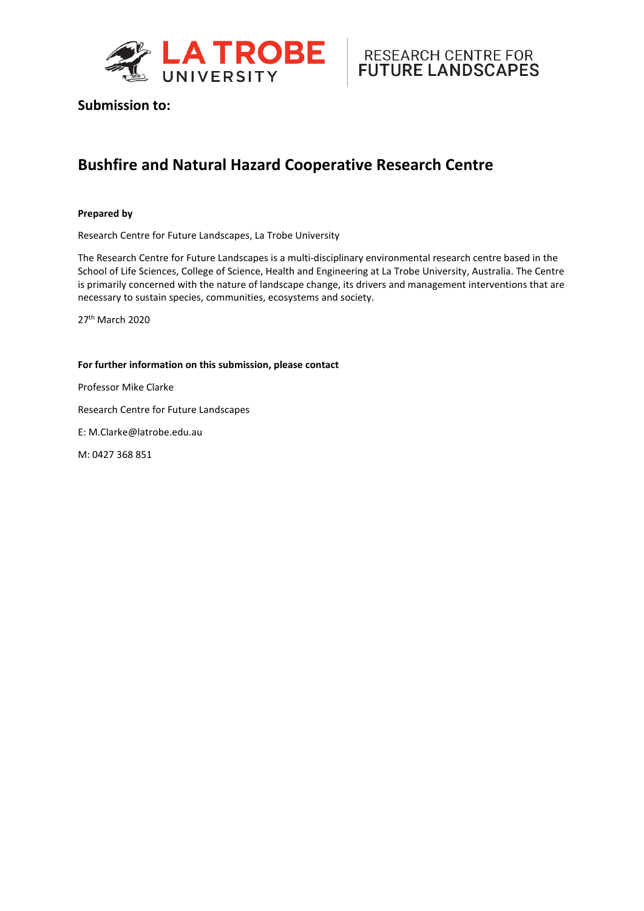



## **Submission to:**

## **Bushfire and Natural Hazard Cooperative Research Centre**

#### **Prepared by**

Research Centre for Future Landscapes, La Trobe University

The Research Centre for Future Landscapes is a multi-disciplinary environmental research centre based in the [School of Life Sciences,](http://www.latrobe.edu.au/school-life-sciences) [College of Science, Health and Engineering](http://www.latrobe.edu.au/she) at [La Trobe University,](http://www.latrobe.edu.au/) Australia. The Centre is primarily concerned with the nature of landscape change, its drivers and management interventions that are necessary to sustain species, communities, ecosystems and society.

27th March 2020

#### **For further information on this submission, please contact**

Professor Mike Clarke

Research Centre for Future Landscapes

E: M.Clarke@latrobe.edu.au

M: 0427 368 851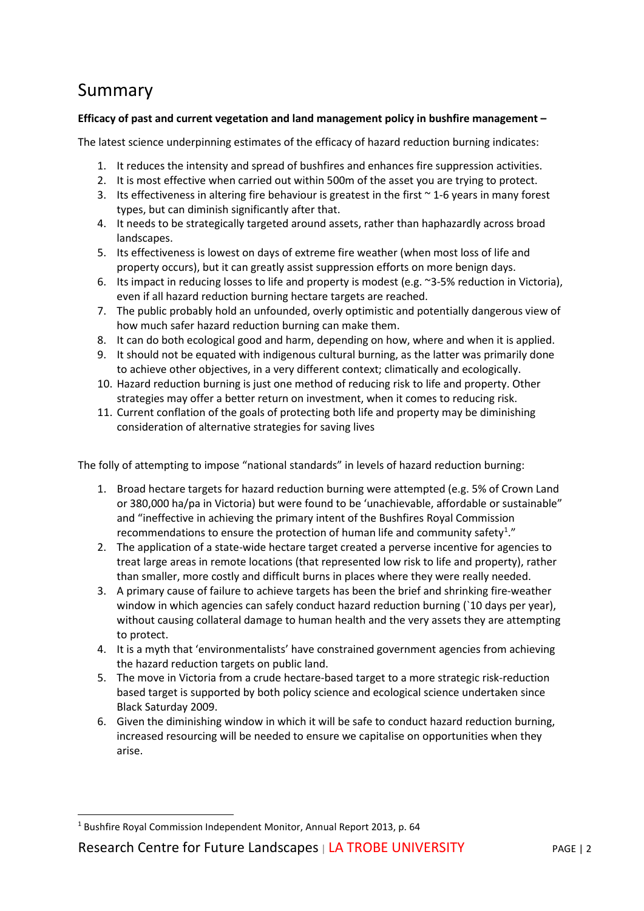# Summary

### **Efficacy of past and current vegetation and land management policy in bushfire management –**

The latest science underpinning estimates of the efficacy of hazard reduction burning indicates:

- 1. It reduces the intensity and spread of bushfires and enhances fire suppression activities.
- 2. It is most effective when carried out within 500m of the asset you are trying to protect.
- 3. Its effectiveness in altering fire behaviour is greatest in the first  $\sim$  1-6 years in many forest types, but can diminish significantly after that.
- 4. It needs to be strategically targeted around assets, rather than haphazardly across broad landscapes.
- 5. Its effectiveness is lowest on days of extreme fire weather (when most loss of life and property occurs), but it can greatly assist suppression efforts on more benign days.
- 6. Its impact in reducing losses to life and property is modest (e.g. ~3-5% reduction in Victoria), even if all hazard reduction burning hectare targets are reached.
- 7. The public probably hold an unfounded, overly optimistic and potentially dangerous view of how much safer hazard reduction burning can make them.
- 8. It can do both ecological good and harm, depending on how, where and when it is applied.
- 9. It should not be equated with indigenous cultural burning, as the latter was primarily done to achieve other objectives, in a very different context; climatically and ecologically.
- 10. Hazard reduction burning is just one method of reducing risk to life and property. Other strategies may offer a better return on investment, when it comes to reducing risk.
- 11. Current conflation of the goals of protecting both life and property may be diminishing consideration of alternative strategies for saving lives

The folly of attempting to impose "national standards" in levels of hazard reduction burning:

- 1. Broad hectare targets for hazard reduction burning were attempted (e.g. 5% of Crown Land or 380,000 ha/pa in Victoria) but were found to be 'unachievable, affordable or sustainable" and "ineffective in achieving the primary intent of the Bushfires Royal Commission recommendations to ensure the protection of human life and community safety<sup>[1](#page-1-0)</sup>."
- 2. The application of a state-wide hectare target created a perverse incentive for agencies to treat large areas in remote locations (that represented low risk to life and property), rather than smaller, more costly and difficult burns in places where they were really needed.
- 3. A primary cause of failure to achieve targets has been the brief and shrinking fire-weather window in which agencies can safely conduct hazard reduction burning (`10 days per year), without causing collateral damage to human health and the very assets they are attempting to protect.
- 4. It is a myth that 'environmentalists' have constrained government agencies from achieving the hazard reduction targets on public land.
- 5. The move in Victoria from a crude hectare-based target to a more strategic risk-reduction based target is supported by both policy science and ecological science undertaken since Black Saturday 2009.
- 6. Given the diminishing window in which it will be safe to conduct hazard reduction burning, increased resourcing will be needed to ensure we capitalise on opportunities when they arise.

Research Centre for Future Landscapes | LA TROBE UNIVERSITY PAGE | 2

<span id="page-1-0"></span><sup>1</sup> Bushfire Royal Commission Independent Monitor, Annual Report 2013, p. 64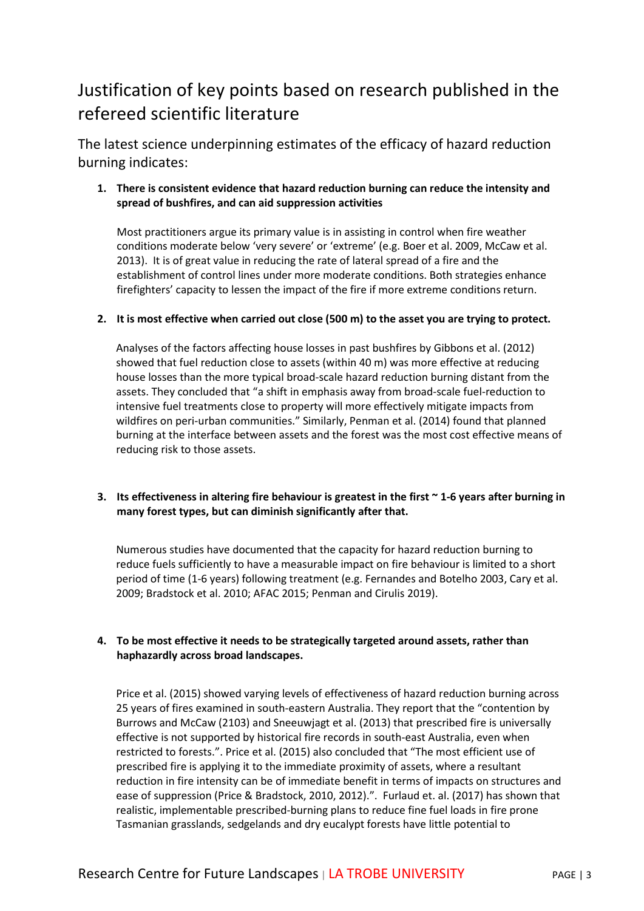# Justification of key points based on research published in the refereed scientific literature

The latest science underpinning estimates of the efficacy of hazard reduction burning indicates:

## **1. There is consistent evidence that hazard reduction burning can reduce the intensity and spread of bushfires, and can aid suppression activities**

Most practitioners argue its primary value is in assisting in control when fire weather conditions moderate below 'very severe' or 'extreme' (e.g. Boer et al. 2009, McCaw et al. 2013). It is of great value in reducing the rate of lateral spread of a fire and the establishment of control lines under more moderate conditions. Both strategies enhance firefighters' capacity to lessen the impact of the fire if more extreme conditions return.

#### **2. It is most effective when carried out close (500 m) to the asset you are trying to protect.**

Analyses of the factors affecting house losses in past bushfires by Gibbons et al. (2012) showed that fuel reduction close to assets (within 40 m) was more effective at reducing house losses than the more typical broad-scale hazard reduction burning distant from the assets. They concluded that "a shift in emphasis away from broad-scale fuel-reduction to intensive fuel treatments close to property will more effectively mitigate impacts from wildfires on peri-urban communities." Similarly, Penman et al. (2014) found that planned burning at the interface between assets and the forest was the most cost effective means of reducing risk to those assets.

#### **3. Its effectiveness in altering fire behaviour is greatest in the first ~ 1-6 years after burning in many forest types, but can diminish significantly after that.**

Numerous studies have documented that the capacity for hazard reduction burning to reduce fuels sufficiently to have a measurable impact on fire behaviour is limited to a short period of time (1-6 years) following treatment (e.g. Fernandes and Botelho 2003, Cary et al. 2009; Bradstock et al. 2010; AFAC 2015; Penman and Cirulis 2019).

#### **4. To be most effective it needs to be strategically targeted around assets, rather than haphazardly across broad landscapes.**

Price et al. (2015) showed varying levels of effectiveness of hazard reduction burning across 25 years of fires examined in south-eastern Australia. They report that the "contention by Burrows and McCaw (2103) and Sneeuwjagt et al. (2013) that prescribed fire is universally effective is not supported by historical fire records in south-east Australia, even when restricted to forests.". Price et al. (2015) also concluded that "The most efficient use of prescribed fire is applying it to the immediate proximity of assets, where a resultant reduction in fire intensity can be of immediate benefit in terms of impacts on structures and ease of suppression (Price & Bradstock, 2010, 2012).". Furlaud et. al. (2017) has shown that realistic, implementable prescribed-burning plans to reduce fine fuel loads in fire prone Tasmanian grasslands, sedgelands and dry eucalypt forests have little potential to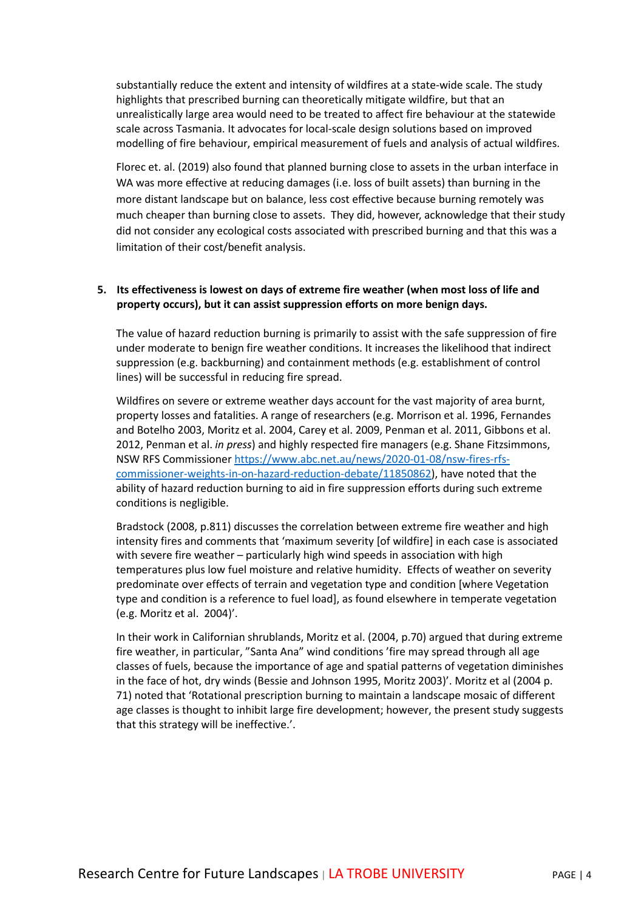substantially reduce the extent and intensity of wildfires at a state-wide scale. The study highlights that prescribed burning can theoretically mitigate wildfire, but that an unrealistically large area would need to be treated to affect fire behaviour at the statewide scale across Tasmania. It advocates for local-scale design solutions based on improved modelling of fire behaviour, empirical measurement of fuels and analysis of actual wildfires.

Florec et. al. (2019) also found that planned burning close to assets in the urban interface in WA was more effective at reducing damages (i.e. loss of built assets) than burning in the more distant landscape but on balance, less cost effective because burning remotely was much cheaper than burning close to assets. They did, however, acknowledge that their study did not consider any ecological costs associated with prescribed burning and that this was a limitation of their cost/benefit analysis.

#### **5. Its effectiveness is lowest on days of extreme fire weather (when most loss of life and property occurs), but it can assist suppression efforts on more benign days.**

The value of hazard reduction burning is primarily to assist with the safe suppression of fire under moderate to benign fire weather conditions. It increases the likelihood that indirect suppression (e.g. backburning) and containment methods (e.g. establishment of control lines) will be successful in reducing fire spread.

Wildfires on severe or extreme weather days account for the vast majority of area burnt, property losses and fatalities. A range of researchers (e.g. Morrison et al. 1996, Fernandes and Botelho 2003, Moritz et al. 2004, Carey et al. 2009, Penman et al. 2011, Gibbons et al. 2012, Penman et al. *in press*) and highly respected fire managers (e.g. Shane Fitzsimmons, NSW RFS Commissione[r https://www.abc.net.au/news/2020-01-08/nsw-fires-rfs](https://www.abc.net.au/news/2020-01-08/nsw-fires-rfs-commissioner-weights-in-on-hazard-reduction-debate/11850862)[commissioner-weights-in-on-hazard-reduction-debate/11850862\)](https://www.abc.net.au/news/2020-01-08/nsw-fires-rfs-commissioner-weights-in-on-hazard-reduction-debate/11850862), have noted that the ability of hazard reduction burning to aid in fire suppression efforts during such extreme conditions is negligible.

Bradstock (2008, p.811) discusses the correlation between extreme fire weather and high intensity fires and comments that 'maximum severity [of wildfire] in each case is associated with severe fire weather – particularly high wind speeds in association with high temperatures plus low fuel moisture and relative humidity. Effects of weather on severity predominate over effects of terrain and vegetation type and condition [where Vegetation type and condition is a reference to fuel load], as found elsewhere in temperate vegetation (e.g. Moritz et al. 2004)'.

In their work in Californian shrublands, Moritz et al. (2004, p.70) argued that during extreme fire weather, in particular, "Santa Ana" wind conditions 'fire may spread through all age classes of fuels, because the importance of age and spatial patterns of vegetation diminishes in the face of hot, dry winds (Bessie and Johnson 1995, Moritz 2003)'. Moritz et al (2004 p. 71) noted that 'Rotational prescription burning to maintain a landscape mosaic of different age classes is thought to inhibit large fire development; however, the present study suggests that this strategy will be ineffective.'.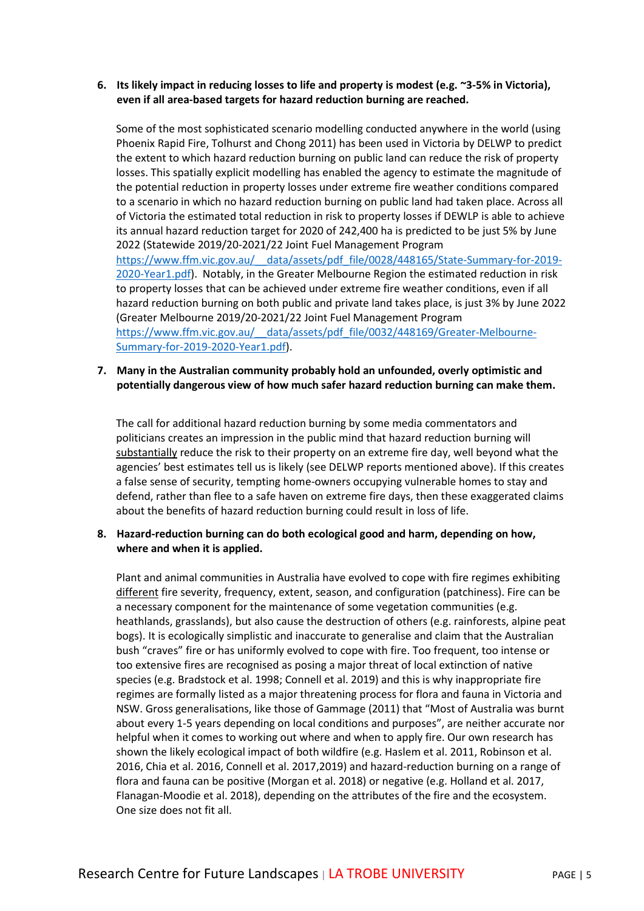#### **6. Its likely impact in reducing losses to life and property is modest (e.g. ~3-5% in Victoria), even if all area-based targets for hazard reduction burning are reached.**

Some of the most sophisticated scenario modelling conducted anywhere in the world (using Phoenix Rapid Fire, Tolhurst and Chong 2011) has been used in Victoria by DELWP to predict the extent to which hazard reduction burning on public land can reduce the risk of property losses. This spatially explicit modelling has enabled the agency to estimate the magnitude of the potential reduction in property losses under extreme fire weather conditions compared to a scenario in which no hazard reduction burning on public land had taken place. Across all of Victoria the estimated total reduction in risk to property losses if DEWLP is able to achieve its annual hazard reduction target for 2020 of 242,400 ha is predicted to be just 5% by June 2022 (Statewide 2019/20-2021/22 Joint Fuel Management Program https://www.ffm.vic.gov.au/ data/assets/pdf file/0028/448165/State-Summary-for-2019-[2020-Year1.pdf\)](https://www.ffm.vic.gov.au/__data/assets/pdf_file/0028/448165/State-Summary-for-2019-2020-Year1.pdf). Notably, in the Greater Melbourne Region the estimated reduction in risk to property losses that can be achieved under extreme fire weather conditions, even if all hazard reduction burning on both public and private land takes place, is just 3% by June 2022 (Greater Melbourne 2019/20-2021/22 Joint Fuel Management Program [https://www.ffm.vic.gov.au/\\_\\_data/assets/pdf\\_file/0032/448169/Greater-Melbourne-](https://www.ffm.vic.gov.au/__data/assets/pdf_file/0032/448169/Greater-Melbourne-Summary-for-2019-2020-Year1.pdf)[Summary-for-2019-2020-Year1.pdf\)](https://www.ffm.vic.gov.au/__data/assets/pdf_file/0032/448169/Greater-Melbourne-Summary-for-2019-2020-Year1.pdf).

#### **7. Many in the Australian community probably hold an unfounded, overly optimistic and potentially dangerous view of how much safer hazard reduction burning can make them.**

The call for additional hazard reduction burning by some media commentators and politicians creates an impression in the public mind that hazard reduction burning will substantially reduce the risk to their property on an extreme fire day, well beyond what the agencies' best estimates tell us is likely (see DELWP reports mentioned above). If this creates a false sense of security, tempting home-owners occupying vulnerable homes to stay and defend, rather than flee to a safe haven on extreme fire days, then these exaggerated claims about the benefits of hazard reduction burning could result in loss of life.

#### **8. Hazard-reduction burning can do both ecological good and harm, depending on how, where and when it is applied.**

Plant and animal communities in Australia have evolved to cope with fire regimes exhibiting different fire severity, frequency, extent, season, and configuration (patchiness). Fire can be a necessary component for the maintenance of some vegetation communities (e.g. heathlands, grasslands), but also cause the destruction of others (e.g. rainforests, alpine peat bogs). It is ecologically simplistic and inaccurate to generalise and claim that the Australian bush "craves" fire or has uniformly evolved to cope with fire. Too frequent, too intense or too extensive fires are recognised as posing a major threat of local extinction of native species (e.g. Bradstock et al. 1998; Connell et al. 2019) and this is why inappropriate fire regimes are formally listed as a major threatening process for flora and fauna in Victoria and NSW. Gross generalisations, like those of Gammage (2011) that "Most of Australia was burnt about every 1-5 years depending on local conditions and purposes", are neither accurate nor helpful when it comes to working out where and when to apply fire. Our own research has shown the likely ecological impact of both wildfire (e.g. Haslem et al. 2011, Robinson et al. 2016, Chia et al. 2016, Connell et al. 2017,2019) and hazard-reduction burning on a range of flora and fauna can be positive (Morgan et al. 2018) or negative (e.g. Holland et al. 2017, Flanagan-Moodie et al. 2018), depending on the attributes of the fire and the ecosystem. One size does not fit all.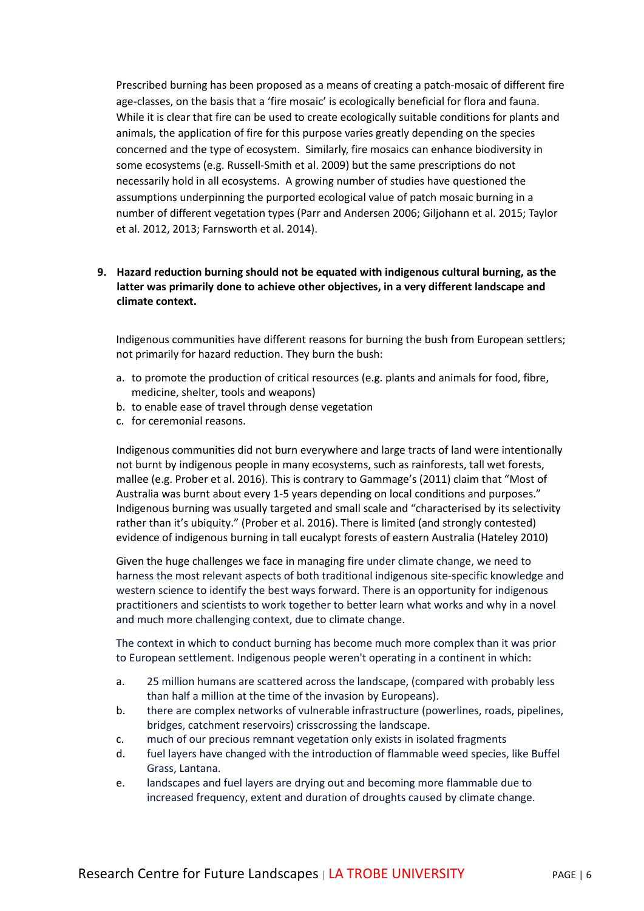Prescribed burning has been proposed as a means of creating a patch-mosaic of different fire age-classes, on the basis that a 'fire mosaic' is ecologically beneficial for flora and fauna. While it is clear that fire can be used to create ecologically suitable conditions for plants and animals, the application of fire for this purpose varies greatly depending on the species concerned and the type of ecosystem. Similarly, fire mosaics can enhance biodiversity in some ecosystems (e.g. Russell-Smith et al. 2009) but the same prescriptions do not necessarily hold in all ecosystems. A growing number of studies have questioned the assumptions underpinning the purported ecological value of patch mosaic burning in a number of different vegetation types (Parr and Andersen 2006; Giljohann et al. 2015; Taylor et al. 2012, 2013; Farnsworth et al. 2014).

#### **9. Hazard reduction burning should not be equated with indigenous cultural burning, as the latter was primarily done to achieve other objectives, in a very different landscape and climate context.**

Indigenous communities have different reasons for burning the bush from European settlers; not primarily for hazard reduction. They burn the bush:

- a. to promote the production of critical resources (e.g. plants and animals for food, fibre, medicine, shelter, tools and weapons)
- b. to enable ease of travel through dense vegetation
- c. for ceremonial reasons.

Indigenous communities did not burn everywhere and large tracts of land were intentionally not burnt by indigenous people in many ecosystems, such as rainforests, tall wet forests, mallee (e.g. Prober et al. 2016). This is contrary to Gammage's (2011) claim that "Most of Australia was burnt about every 1-5 years depending on local conditions and purposes." Indigenous burning was usually targeted and small scale and "characterised by its selectivity rather than it's ubiquity." (Prober et al. 2016). There is limited (and strongly contested) evidence of indigenous burning in tall eucalypt forests of eastern Australia (Hateley 2010)

Given the huge challenges we face in managing fire under climate change, we need to harness the most relevant aspects of both traditional indigenous site-specific knowledge and western science to identify the best ways forward. There is an opportunity for indigenous practitioners and scientists to work together to better learn what works and why in a novel and much more challenging context, due to climate change.

The context in which to conduct burning has become much more complex than it was prior to European settlement. Indigenous people weren't operating in a continent in which:

- a. 25 million humans are scattered across the landscape, (compared with probably less than half a million at the time of the invasion by Europeans).
- b. there are complex networks of vulnerable infrastructure (powerlines, roads, pipelines, bridges, catchment reservoirs) crisscrossing the landscape.
- c. much of our precious remnant vegetation only exists in isolated fragments
- d. fuel layers have changed with the introduction of flammable weed species, like Buffel Grass, Lantana.
- e. landscapes and fuel layers are drying out and becoming more flammable due to increased frequency, extent and duration of droughts caused by climate change.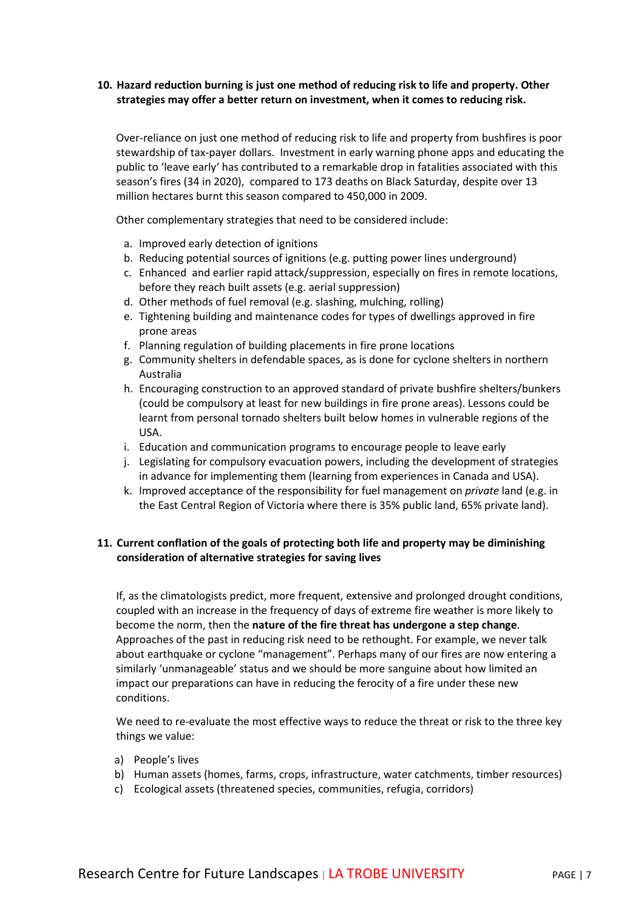#### **10. Hazard reduction burning is just one method of reducing risk to life and property. Other strategies may offer a better return on investment, when it comes to reducing risk.**

Over-reliance on just one method of reducing risk to life and property from bushfires is poor stewardship of tax-payer dollars. Investment in early warning phone apps and educating the public to 'leave early' has contributed to a remarkable drop in fatalities associated with this season's fires (34 in 2020), compared to 173 deaths on Black Saturday, despite over 13 million hectares burnt this season compared to 450,000 in 2009.

Other complementary strategies that need to be considered include:

- a. Improved early detection of ignitions
- b. Reducing potential sources of ignitions (e.g. putting power lines underground)
- c. Enhanced and earlier rapid attack/suppression, especially on fires in remote locations, before they reach built assets (e.g. aerial suppression)
- d. Other methods of fuel removal (e.g. slashing, mulching, rolling)
- e. Tightening building and maintenance codes for types of dwellings approved in fire prone areas
- f. Planning regulation of building placements in fire prone locations
- g. Community shelters in defendable spaces, as is done for cyclone shelters in northern Australia
- h. Encouraging construction to an approved standard of private bushfire shelters/bunkers (could be compulsory at least for new buildings in fire prone areas). Lessons could be learnt from personal tornado shelters built below homes in vulnerable regions of the USA.
- i. Education and communication programs to encourage people to leave early
- j. Legislating for compulsory evacuation powers, including the development of strategies in advance for implementing them (learning from experiences in Canada and USA).
- k. Improved acceptance of the responsibility for fuel management on *private* land (e.g. in the East Central Region of Victoria where there is 35% public land, 65% private land).

#### **11. Current conflation of the goals of protecting both life and property may be diminishing consideration of alternative strategies for saving lives**

If, as the climatologists predict, more frequent, extensive and prolonged drought conditions, coupled with an increase in the frequency of days of extreme fire weather is more likely to become the norm, then the **nature of the fire threat has undergone a step change**. Approaches of the past in reducing risk need to be rethought. For example, we never talk about earthquake or cyclone "management". Perhaps many of our fires are now entering a similarly 'unmanageable' status and we should be more sanguine about how limited an impact our preparations can have in reducing the ferocity of a fire under these new conditions.

We need to re-evaluate the most effective ways to reduce the threat or risk to the three key things we value:

- a) People's lives
- b) Human assets (homes, farms, crops, infrastructure, water catchments, timber resources)
- c) Ecological assets (threatened species, communities, refugia, corridors)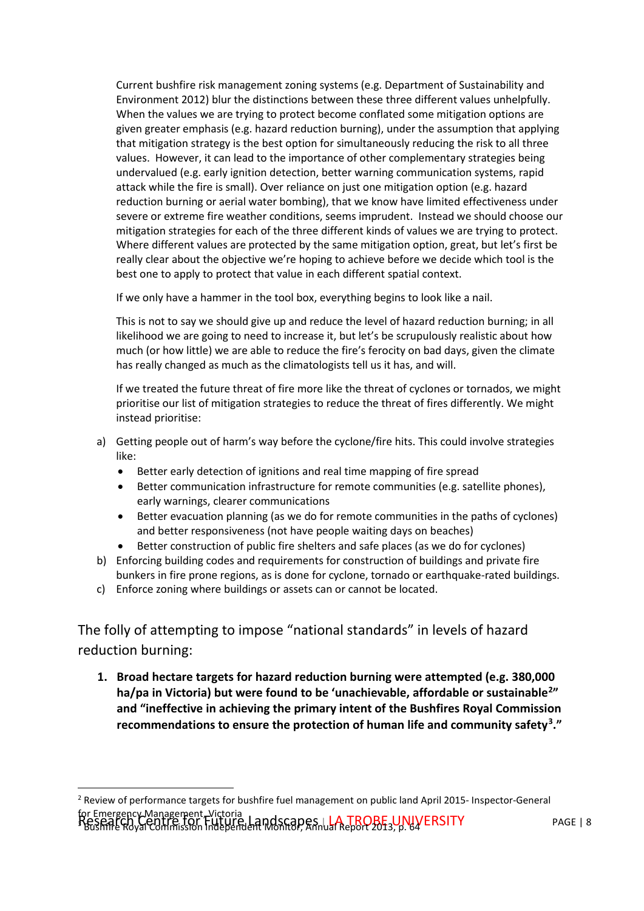Current bushfire risk management zoning systems (e.g. Department of Sustainability and Environment 2012) blur the distinctions between these three different values unhelpfully. When the values we are trying to protect become conflated some mitigation options are given greater emphasis (e.g. hazard reduction burning), under the assumption that applying that mitigation strategy is the best option for simultaneously reducing the risk to all three values. However, it can lead to the importance of other complementary strategies being undervalued (e.g. early ignition detection, better warning communication systems, rapid attack while the fire is small). Over reliance on just one mitigation option (e.g. hazard reduction burning or aerial water bombing), that we know have limited effectiveness under severe or extreme fire weather conditions, seems imprudent. Instead we should choose our mitigation strategies for each of the three different kinds of values we are trying to protect. Where different values are protected by the same mitigation option, great, but let's first be really clear about the objective we're hoping to achieve before we decide which tool is the best one to apply to protect that value in each different spatial context.

If we only have a hammer in the tool box, everything begins to look like a nail.

This is not to say we should give up and reduce the level of hazard reduction burning; in all likelihood we are going to need to increase it, but let's be scrupulously realistic about how much (or how little) we are able to reduce the fire's ferocity on bad days, given the climate has really changed as much as the climatologists tell us it has, and will.

If we treated the future threat of fire more like the threat of cyclones or tornados, we might prioritise our list of mitigation strategies to reduce the threat of fires differently. We might instead prioritise:

- a) Getting people out of harm's way before the cyclone/fire hits. This could involve strategies like:
	- Better early detection of ignitions and real time mapping of fire spread
	- Better communication infrastructure for remote communities (e.g. satellite phones), early warnings, clearer communications
	- Better evacuation planning (as we do for remote communities in the paths of cyclones) and better responsiveness (not have people waiting days on beaches)
	- Better construction of public fire shelters and safe places (as we do for cyclones)
- b) Enforcing building codes and requirements for construction of buildings and private fire bunkers in fire prone regions, as is done for cyclone, tornado or earthquake-rated buildings.
- c) Enforce zoning where buildings or assets can or cannot be located.

The folly of attempting to impose "national standards" in levels of hazard reduction burning:

**1. Broad hectare targets for hazard reduction burning were attempted (e.g. 380,000 ha/pa in Victoria) but were found to be 'unachievable, affordable or sustainable[2](#page-7-0)" and "ineffective in achieving the primary intent of the Bushfires Royal Commission recommendations to ensure the protection of human life and community safety[3](#page-7-1)."**

<span id="page-7-1"></span><span id="page-7-0"></span>Research Centre for Future Landscapes | LA TROBE UNIVERSITY<br>Pessant Royal Commission Independent Monitor, Annual Report 2013, p. 64 <sup>2</sup> Review of performance targets for bushfire fuel management on public land April 2015- Inspector-General for Emergency Management, Victoria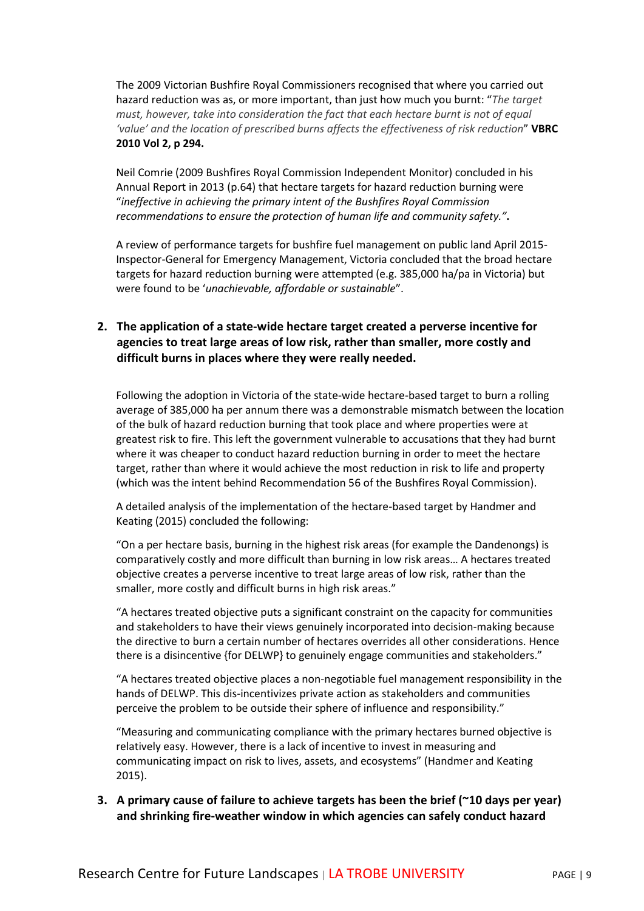The 2009 Victorian Bushfire Royal Commissioners recognised that where you carried out hazard reduction was as, or more important, than just how much you burnt: "*The target must, however, take into consideration the fact that each hectare burnt is not of equal 'value' and the location of prescribed burns affects the effectiveness of risk reduction*" **VBRC 2010 Vol 2, p 294.** 

Neil Comrie (2009 Bushfires Royal Commission Independent Monitor) concluded in his Annual Report in 2013 (p.64) that hectare targets for hazard reduction burning were "*ineffective in achieving the primary intent of the Bushfires Royal Commission recommendations to ensure the protection of human life and community safety."***.**

A review of performance targets for bushfire fuel management on public land April 2015- Inspector-General for Emergency Management, Victoria concluded that the broad hectare targets for hazard reduction burning were attempted (e.g. 385,000 ha/pa in Victoria) but were found to be '*unachievable, affordable or sustainable*".

## **2. The application of a state-wide hectare target created a perverse incentive for agencies to treat large areas of low risk, rather than smaller, more costly and difficult burns in places where they were really needed.**

Following the adoption in Victoria of the state-wide hectare-based target to burn a rolling average of 385,000 ha per annum there was a demonstrable mismatch between the location of the bulk of hazard reduction burning that took place and where properties were at greatest risk to fire. This left the government vulnerable to accusations that they had burnt where it was cheaper to conduct hazard reduction burning in order to meet the hectare target, rather than where it would achieve the most reduction in risk to life and property (which was the intent behind Recommendation 56 of the Bushfires Royal Commission).

A detailed analysis of the implementation of the hectare-based target by Handmer and Keating (2015) concluded the following:

"On a per hectare basis, burning in the highest risk areas (for example the Dandenongs) is comparatively costly and more difficult than burning in low risk areas… A hectares treated objective creates a perverse incentive to treat large areas of low risk, rather than the smaller, more costly and difficult burns in high risk areas."

"A hectares treated objective puts a significant constraint on the capacity for communities and stakeholders to have their views genuinely incorporated into decision-making because the directive to burn a certain number of hectares overrides all other considerations. Hence there is a disincentive {for DELWP} to genuinely engage communities and stakeholders."

"A hectares treated objective places a non-negotiable fuel management responsibility in the hands of DELWP. This dis-incentivizes private action as stakeholders and communities perceive the problem to be outside their sphere of influence and responsibility."

"Measuring and communicating compliance with the primary hectares burned objective is relatively easy. However, there is a lack of incentive to invest in measuring and communicating impact on risk to lives, assets, and ecosystems" (Handmer and Keating 2015).

**3. A primary cause of failure to achieve targets has been the brief (~10 days per year) and shrinking fire-weather window in which agencies can safely conduct hazard**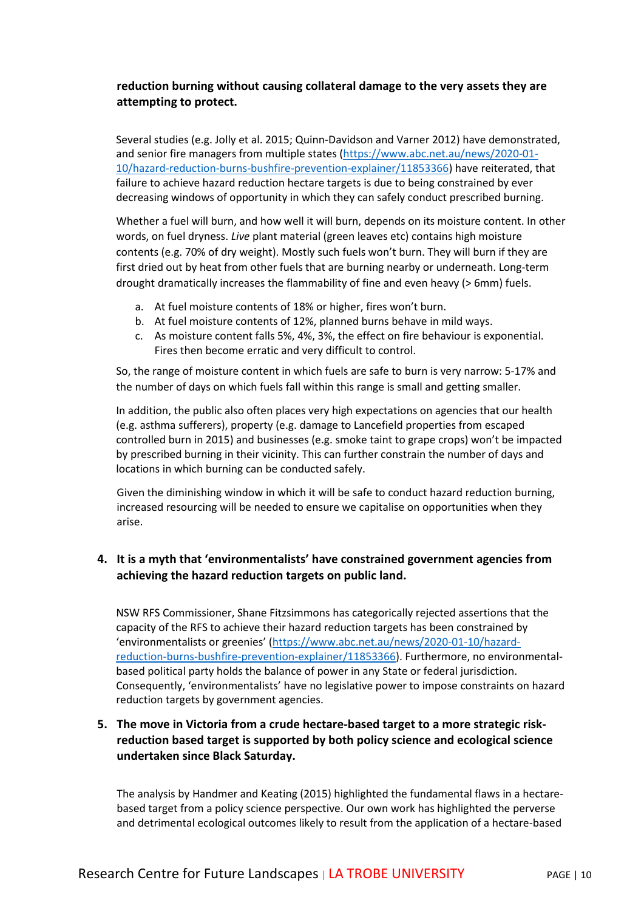## **reduction burning without causing collateral damage to the very assets they are attempting to protect.**

Several studies (e.g. Jolly et al. 2015; Quinn-Davidson and Varner 2012) have demonstrated, and senior fire managers from multiple states [\(https://www.abc.net.au/news/2020-01-](https://www.abc.net.au/news/2020-01-10/hazard-reduction-burns-bushfire-prevention-explainer/11853366) [10/hazard-reduction-burns-bushfire-prevention-explainer/11853366\)](https://www.abc.net.au/news/2020-01-10/hazard-reduction-burns-bushfire-prevention-explainer/11853366) have reiterated, that failure to achieve hazard reduction hectare targets is due to being constrained by ever decreasing windows of opportunity in which they can safely conduct prescribed burning.

Whether a fuel will burn, and how well it will burn, depends on its moisture content. In other words, on fuel dryness. *Live* plant material (green leaves etc) contains high moisture contents (e.g. 70% of dry weight). Mostly such fuels won't burn. They will burn if they are first dried out by heat from other fuels that are burning nearby or underneath. Long-term drought dramatically increases the flammability of fine and even heavy (> 6mm) fuels.

- a. At fuel moisture contents of 18% or higher, fires won't burn.
- b. At fuel moisture contents of 12%, planned burns behave in mild ways.
- c. As moisture content falls 5%, 4%, 3%, the effect on fire behaviour is exponential. Fires then become erratic and very difficult to control.

So, the range of moisture content in which fuels are safe to burn is very narrow: 5-17% and the number of days on which fuels fall within this range is small and getting smaller.

In addition, the public also often places very high expectations on agencies that our health (e.g. asthma sufferers), property (e.g. damage to Lancefield properties from escaped controlled burn in 2015) and businesses (e.g. smoke taint to grape crops) won't be impacted by prescribed burning in their vicinity. This can further constrain the number of days and locations in which burning can be conducted safely.

Given the diminishing window in which it will be safe to conduct hazard reduction burning, increased resourcing will be needed to ensure we capitalise on opportunities when they arise.

## **4. It is a myth that 'environmentalists' have constrained government agencies from achieving the hazard reduction targets on public land.**

NSW RFS Commissioner, Shane Fitzsimmons has categorically rejected assertions that the capacity of the RFS to achieve their hazard reduction targets has been constrained by 'environmentalists or greenies' [\(https://www.abc.net.au/news/2020-01-10/hazard](https://www.abc.net.au/news/2020-01-10/hazard-reduction-burns-bushfire-prevention-explainer/11853366)[reduction-burns-bushfire-prevention-explainer/11853366\)](https://www.abc.net.au/news/2020-01-10/hazard-reduction-burns-bushfire-prevention-explainer/11853366). Furthermore, no environmentalbased political party holds the balance of power in any State or federal jurisdiction. Consequently, 'environmentalists' have no legislative power to impose constraints on hazard reduction targets by government agencies.

## **5. The move in Victoria from a crude hectare-based target to a more strategic riskreduction based target is supported by both policy science and ecological science undertaken since Black Saturday.**

The analysis by Handmer and Keating (2015) highlighted the fundamental flaws in a hectarebased target from a policy science perspective. Our own work has highlighted the perverse and detrimental ecological outcomes likely to result from the application of a hectare-based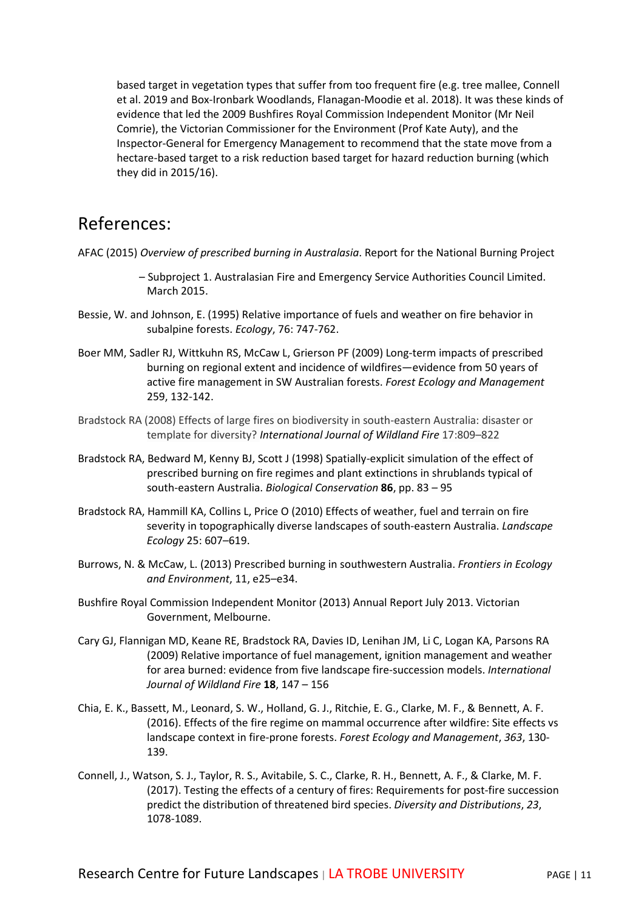based target in vegetation types that suffer from too frequent fire (e.g. tree mallee, Connell et al. 2019 and Box-Ironbark Woodlands, Flanagan-Moodie et al. 2018). It was these kinds of evidence that led the 2009 Bushfires Royal Commission Independent Monitor (Mr Neil Comrie), the Victorian Commissioner for the Environment (Prof Kate Auty), and the Inspector-General for Emergency Management to recommend that the state move from a hectare-based target to a risk reduction based target for hazard reduction burning (which they did in 2015/16).

## References:

AFAC (2015) *Overview of prescribed burning in Australasia*. Report for the National Burning Project

- Subproject 1. Australasian Fire and Emergency Service Authorities Council Limited. March 2015.
- Bessie, W. and Johnson, E. (1995) Relative importance of fuels and weather on fire behavior in subalpine forests. *Ecology*, 76: 747-762.
- Boer MM, Sadler RJ, Wittkuhn RS, McCaw L, Grierson PF (2009) Long-term impacts of prescribed burning on regional extent and incidence of wildfires—evidence from 50 years of active fire management in SW Australian forests. *Forest Ecology and Management*  259, 132-142.
- Bradstock RA (2008) Effects of large fires on biodiversity in south-eastern Australia: disaster or template for diversity? *International Journal of Wildland Fire* 17:809–822
- Bradstock RA, Bedward M, Kenny BJ, Scott J (1998) Spatially-explicit simulation of the effect of prescribed burning on fire regimes and plant extinctions in shrublands typical of south-eastern Australia. *Biological Conservation* **86**, pp. 83 – 95
- Bradstock RA, Hammill KA, Collins L, Price O (2010) Effects of weather, fuel and terrain on fire severity in topographically diverse landscapes of south-eastern Australia. *Landscape Ecology* 25: 607–619.
- Burrows, N. & McCaw, L. (2013) Prescribed burning in southwestern Australia. *Frontiers in Ecology and Environment*, 11, e25–e34.
- Bushfire Royal Commission Independent Monitor (2013) Annual Report July 2013. Victorian Government, Melbourne.
- Cary GJ, Flannigan MD, Keane RE, Bradstock RA, Davies ID, Lenihan JM, Li C, Logan KA, Parsons RA (2009) Relative importance of fuel management, ignition management and weather for area burned: evidence from five landscape fire-succession models. *International Journal of Wildland Fire* **18**, 147 – 156
- Chia, E. K., Bassett, M., Leonard, S. W., Holland, G. J., Ritchie, E. G., Clarke, M. F., & Bennett, A. F. (2016). Effects of the fire regime on mammal occurrence after wildfire: Site effects vs landscape context in fire-prone forests. *Forest Ecology and Management*, *363*, 130- 139.
- Connell, J., Watson, S. J., Taylor, R. S., Avitabile, S. C., Clarke, R. H., Bennett, A. F., & Clarke, M. F. (2017). Testing the effects of a century of fires: Requirements for post-fire succession predict the distribution of threatened bird species. *Diversity and Distributions*, *23*, 1078-1089.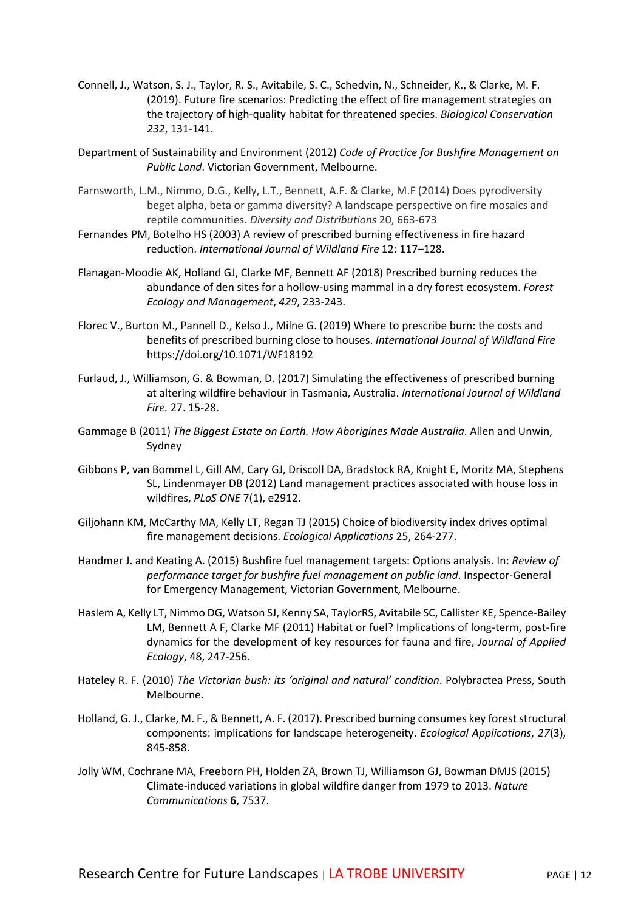- Connell, J., Watson, S. J., Taylor, R. S., Avitabile, S. C., Schedvin, N., Schneider, K., & Clarke, M. F. (2019). Future fire scenarios: Predicting the effect of fire management strategies on the trajectory of high-quality habitat for threatened species. *Biological Conservation 232*, 131-141.
- Department of Sustainability and Environment (2012) *Code of Practice for Bushfire Management on Public Land*. Victorian Government, Melbourne.
- Farnsworth, L.M., Nimmo, D.G., Kelly, L.T., Bennett, A.F. & Clarke, M.F (2014) Does pyrodiversity beget alpha, beta or gamma diversity? A landscape perspective on fire mosaics and reptile communities. *Diversity and Distributions* 20, 663-673
- Fernandes PM, Botelho HS (2003) A review of prescribed burning effectiveness in fire hazard reduction. *International Journal of Wildland Fire* 12: 117–128.
- Flanagan-Moodie AK, Holland GJ, Clarke MF, Bennett AF (2018) Prescribed burning reduces the abundance of den sites for a hollow-using mammal in a dry forest ecosystem. *Forest Ecology and Management*, *429*, 233-243.
- Florec V., Burton M., Pannell D., Kelso J., Milne G. (2019) Where to prescribe burn: the costs and benefits of prescribed burning close to houses. *International Journal of Wildland Fire*  https://doi.org/10.1071/WF18192
- Furlaud, J., Williamson, G. & Bowman, D. (2017) Simulating the effectiveness of prescribed burning at altering wildfire behaviour in Tasmania, Australia. *International Journal of Wildland Fire.* 27. 15-28.
- Gammage B (2011) *The Biggest Estate on Earth. How Aborigines Made Australia*. Allen and Unwin, Sydney
- Gibbons P, van Bommel L, Gill AM, Cary GJ, Driscoll DA, Bradstock RA, Knight E, Moritz MA, Stephens SL, Lindenmayer DB (2012) Land management practices associated with house loss in wildfires, *PLoS ONE* 7(1), e2912.
- Giljohann KM, McCarthy MA, Kelly LT, Regan TJ (2015) Choice of biodiversity index drives optimal fire management decisions. *Ecological Applications* 25, 264-277.
- Handmer J. and Keating A. (2015) Bushfire fuel management targets: Options analysis. In: *Review of performance target for bushfire fuel management on public land*. Inspector-General for Emergency Management, Victorian Government, Melbourne.
- Haslem A, Kelly LT, Nimmo DG, Watson SJ, Kenny SA, TaylorRS, Avitabile SC, Callister KE, Spence-Bailey LM, Bennett A F, Clarke MF (2011) Habitat or fuel? Implications of long-term, post-fire dynamics for the development of key resources for fauna and fire, *Journal of Applied Ecology*, 48, 247-256.
- Hateley R. F. (2010) *The Victorian bush: its 'original and natural' condition*. Polybractea Press, South Melbourne.
- Holland, G. J., Clarke, M. F., & Bennett, A. F. (2017). Prescribed burning consumes key forest structural components: implications for landscape heterogeneity. *Ecological Applications*, *27*(3), 845-858.
- Jolly WM, Cochrane MA, Freeborn PH, Holden ZA, Brown TJ, Williamson GJ, Bowman DMJS (2015) Climate-induced variations in global wildfire danger from 1979 to 2013. *Nature Communications* **6**, 7537.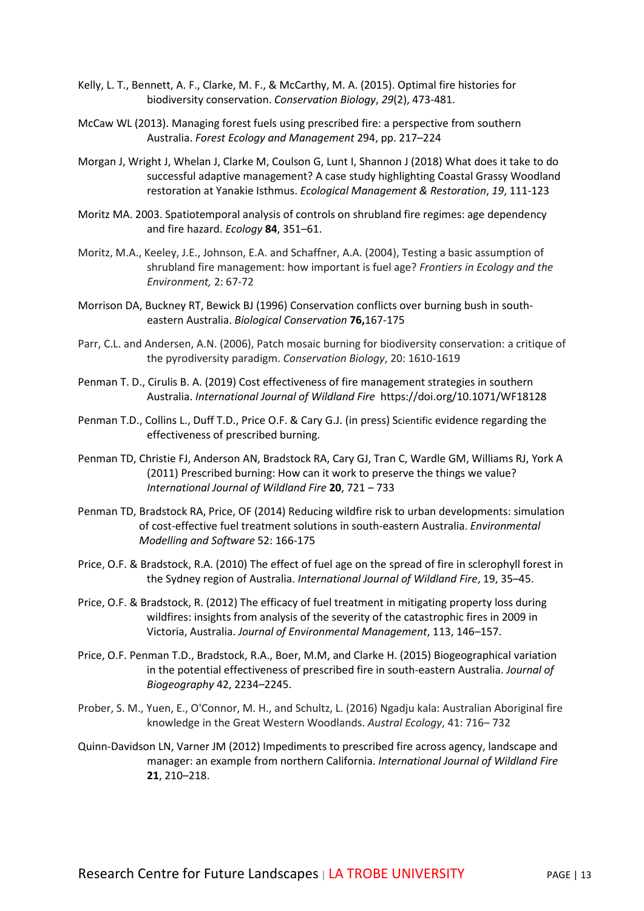- Kelly, L. T., Bennett, A. F., Clarke, M. F., & McCarthy, M. A. (2015). Optimal fire histories for biodiversity conservation. *Conservation Biology*, *29*(2), 473-481.
- McCaw WL (2013). Managing forest fuels using prescribed fire: a perspective from southern Australia. *Forest Ecology and Management* 294, pp. 217–224
- Morgan J, Wright J, Whelan J, Clarke M, Coulson G, Lunt I, Shannon J (2018) What does it take to do successful adaptive management? A case study highlighting Coastal Grassy Woodland restoration at Yanakie Isthmus. *Ecological Management & Restoration*, *19*, 111-123
- Moritz MA. 2003. Spatiotemporal analysis of controls on shrubland fire regimes: age dependency and fire hazard. *Ecology* **84**, 351–61.
- Moritz, M.A., Keeley, J.E., Johnson, E.A. and Schaffner, A.A. (2004), Testing a basic assumption of shrubland fire management: how important is fuel age? *Frontiers in Ecology and the Environment,* 2: 67-72
- Morrison DA, Buckney RT, Bewick BJ (1996) Conservation conflicts over burning bush in southeastern Australia. *Biological Conservation* **76,**167-175
- Parr, C.L. and Andersen, A.N. (2006), Patch mosaic burning for biodiversity conservation: a critique of the pyrodiversity paradigm. *Conservation Biology*, 20: 1610-1619
- Penman T. D., Cirulis B. A. (2019) Cost effectiveness of fire management strategies in southern Australia. *International Journal of Wildland Fire* https://doi.org/10.1071/WF18128
- Penman T.D., Collins L., Duff T.D., Price O.F. & Cary G.J. (in press) Scientific evidence regarding the effectiveness of prescribed burning.
- Penman TD, Christie FJ, Anderson AN, Bradstock RA, Cary GJ, Tran C, Wardle GM, Williams RJ, York A (2011) Prescribed burning: How can it work to preserve the things we value? *International Journal of Wildland Fire* **20**, 721 – 733
- Penman TD, Bradstock RA, Price, OF (2014) Reducing wildfire risk to urban developments: simulation of cost-effective fuel treatment solutions in south-eastern Australia. *Environmental Modelling and Software* 52: 166-175
- Price, O.F. & Bradstock, R.A. (2010) The effect of fuel age on the spread of fire in sclerophyll forest in the Sydney region of Australia. *International Journal of Wildland Fire*, 19, 35–45.
- Price, O.F. & Bradstock, R. (2012) The efficacy of fuel treatment in mitigating property loss during wildfires: insights from analysis of the severity of the catastrophic fires in 2009 in Victoria, Australia. *Journal of Environmental Management*, 113, 146–157.
- Price, O.F. Penman T.D., Bradstock, R.A., Boer, M.M, and Clarke H. (2015) Biogeographical variation in the potential effectiveness of prescribed fire in south-eastern Australia. *Journal of Biogeography* 42, 2234–2245.
- Prober, S. M., Yuen, E., O'Connor, M. H., and Schultz, L. (2016) Ngadju kala: Australian Aboriginal fire knowledge in the Great Western Woodlands. *Austral Ecology*, 41: 716– 732
- Quinn-Davidson LN, Varner JM (2012) Impediments to prescribed fire across agency, landscape and manager: an example from northern California. *International Journal of Wildland Fire*  **21**, 210–218.